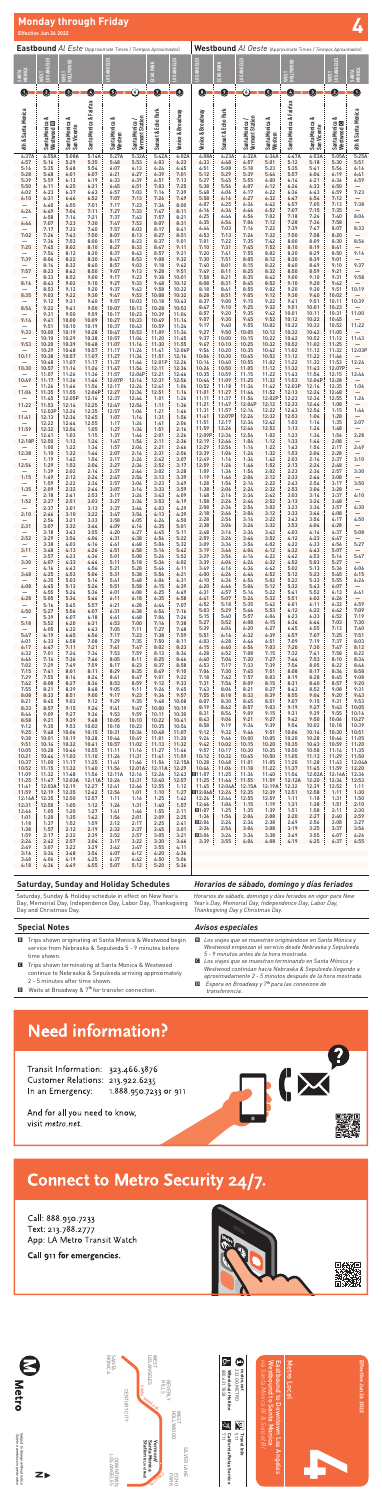| <b>Eastbound Al Este (Approximate Times / Tiempos Aproximados)</b> |                                           |                               |                          |                           |                                   |                                |                         | Westbound Al Oeste (Approximate Times / Tiempos Aproximados) |                          |                                   |                           |                         |                                     |                                   |                                  |
|--------------------------------------------------------------------|-------------------------------------------|-------------------------------|--------------------------|---------------------------|-----------------------------------|--------------------------------|-------------------------|--------------------------------------------------------------|--------------------------|-----------------------------------|---------------------------|-------------------------|-------------------------------------|-----------------------------------|----------------------------------|
| SANTA<br>MONICA                                                    | <b>.0S ANGELES</b><br>흅                   | $\Xi$<br>엺                    |                          | <b>0S ANGELES</b>         |                                   | ECHO PARK                      | <b>LOS ANGELES</b>      | <b>LOS ANGELES</b>                                           | ECHO PARK                | <b>LOS ANGELES</b>                |                           | HOLLYWOOD<br>ГSI        |                                     | <b>LOS ANGELES</b><br><b>TS3M</b> | MONICA<br><b>SANTA</b>           |
| O                                                                  | 0                                         | €                             | 0                        | ❺                         | $\copyright$                      | 0                              | $\bullet$               | O                                                            | 0                        | ⑥                                 | ❺                         | 0                       | 0                                   | 0                                 | 0                                |
| 6th & Santa Monica                                                 | ∞<br>Santa Monica &<br>Westwood <b>E3</b> | Santa Monica &<br>San Vicente | Santa Monica & Fairfax   | Santa Monica &<br>Western | Santa Monica /<br>Vermont Station | Sunset & Echo Park             | Venice & Broadway       | Venice & Broadway                                            | Sunset & Echo Park       | Santa Monica /<br>Vermont Station | Santa Monica &<br>Western | Santa Monica & Fairfax  | ಂಶ<br>Santa Monica &<br>San Vicente | Santa Monica &<br>Westwood D      | 6th & Santa Monica               |
| 4:37A<br>4:57<br>5:16                                              | 4:55A<br>5:16<br>5:35                     | 5:08A<br>5:29<br>5:48         | 5:14A<br>5:35<br>5:54    | 5:27A<br>5:48<br>6:07     | 5:32A<br>5:53<br>6:13             | 5:42A<br>6:03<br>6:24          | 6:02A<br>6:23<br>6:45   | 4:08A<br>4:33<br>4:51                                        | 4:23A<br>4:48<br>5:08    | 4:32A<br>4:57<br>5:18             | 4:36A<br>5:01<br>5:23     | 4:47A<br>5:12<br>5:35   | 4:53A<br>5:18<br>5:41               | 5:05A<br>5:30<br>5:54             | 5:25A<br>5:51<br>6:16            |
| 5:28<br>5:39                                                       | 5:48<br>5:59                              | 6:01<br>6:13                  | 6:07<br>6:19             | 6:21<br>6:33              | 6:27<br>6:39                      | 6:39<br>6:51                   | 7:01<br>7:13            | 5:12<br>5:27                                                 | 5:29<br>5:45             | 5:39<br>5:55                      | 5:44<br>6:00              | 5:57<br>6:14            | 6:04<br>6:21                        | 6:19<br>6:36                      | 6:41<br>6:59                     |
| 5:50<br>6:02                                                       | 6:11<br>6:23                              | 6:25<br>6:37                  | 6:31<br>6:43             | 6:45<br>6:57              | 6:51<br>7:03                      | 7:03<br>7:16                   | 7:25<br>7:39            | 5:38<br>5:48                                                 | 5:56<br>6:06             | 6:07<br>6:17                      | 6:12<br>6:22              | 6:26<br>6:36            | 6:33<br>6:43                        | 6:50<br>6:59                      | 7:23                             |
| 6:10                                                               | 6:31<br>6:40                              | 6:46<br>6:55                  | 6:52<br>7:01             | 7:07<br>7:17              | 7:13<br>7:23                      | 7:26<br>7:36                   | 7:49<br>8:00            | 5:58<br>6:07                                                 | 6:16<br>6:25             | 6:27<br>6:36                      | 6:32<br>6:42              | 6:47<br>6:57            | 6:54<br>7:05                        | 7:12<br>7:13                      | $\overline{\phantom{0}}$<br>7:38 |
| 6:26                                                               | 6:49<br>6:58                              | 7:04<br>7:14                  | 7:11<br>7:21             | 7:27<br>7:37              | 7:33<br>7:43                      | 7:47<br>7:57                   | 8:11<br>8:21            | 6:16<br>6:25                                                 | 6:34<br>6:44             | 6:46<br>6:56                      | 6:52<br>7:02              | 7:07<br>7:18            | 7:15<br>7:26                        | 7:35<br>7:40                      | 8:06                             |
| 6:44<br>7:02                                                       | 7:07<br>7:17<br>7:26                      | 7:23<br>7:33<br>7:43          | 7:30<br>7:40<br>7:50     | 7:47<br>7:57<br>8:07      | 7:53<br>8:03<br>8:13              | 8:07<br>8:17<br>8:27           | 8:31<br>8:41<br>8:51    | 6:35<br>6:44<br>6:53                                         | 6:54<br>7:03<br>7:13     | 7:06<br>7:16<br>7:26              | 7:12<br>7:22<br>7:32      | 7:28<br>7:39<br>7:50    | 7:36<br>7:47<br>7:58                | 7:58<br>8:07<br>8:20              | 8:33                             |
| 7:20                                                               | 7:36<br>7:45                              | 7:53<br>8:02                  | 8:00<br>8:10             | 8:17<br>8:27              | 8:23<br>8:33                      | 8:37<br>8:47                   | 9:01<br>9:11            | 7:01<br>7:10                                                 | 7:22<br>7:31             | 7:35<br>7:45                      | 7:42<br>7:52              | 8:00<br>8:10            | 8:09<br>8:19                        | 8:30<br>8:41                      | 8:56                             |
| 7:39                                                               | 7:54<br>8:04                              | 8:12<br>8:22                  | 8:20<br>8:30             | 8:37<br>8:47              | 8:43<br>8:53                      | 8:57<br>9:08                   | 9:21<br>9:32            | 7:20<br>7:30                                                 | 7:41<br>7:51             | 7:55<br>8:05                      | 8:02<br>8:12              | 8:20<br>8:30            | 8:29<br>8:39                        | 8:50<br>9:01                      | 9:16                             |
| 7:57                                                               | 8:14<br>8:23                              | 8:32<br>8:42                  | 8:40<br>8:50             | 8:57<br>9:07              | 9:03<br>9:13                      | 9:18<br>9:28                   | 9:42<br>9:51            | 7:40<br>7:49                                                 | 8:01<br>8:11             | 8:15<br>8:25                      | 8:22<br>8:32              | 8:40<br>8:50            | 8:49<br>8:59                        | 9:10<br>9:21                      | 9:37<br>$\overline{\phantom{0}}$ |
| 8:16                                                               | 8:33<br>8:43                              | 8:52<br>9:02                  | 9:00<br>9:10             | 9:17<br>9:27              | 9:23<br>9:33                      | 9:38<br>9:48                   | 10:01<br>10:12          | 7:58<br>8:08                                                 | 8:21<br>8:31             | 8:35<br>8:45                      | 8:42<br>8:52              | 9:00<br>9:10            | 9:10<br>9:20                        | 9:31<br>9:42                      | 9:58                             |
| 8:35                                                               | 8:53<br>9:03<br>9:12                      | 9:12<br>9:22<br>9:31          | 9:20<br>9:30<br>9:40     | 9:37<br>9:47<br>9:57      | 9:43<br>9:53<br>10:03             | 9:58<br>10:08<br>10:18         | 10:22<br>10:32<br>10:43 | 8:18<br>8:28<br>8:37                                         | 8:41<br>8:51<br>9:00     | 8:55<br>9:05<br>9:15              | 9:02<br>9:12<br>9:22      | 9:20<br>9:30<br>9:41    | 9:30<br>9:40<br>9:51                | 9:51<br>10:02<br>10:11            | 10:19<br>10:39                   |
| 8:54                                                               | 9:22<br>9:31                              | 9:41<br>9:50                  | 9:50<br>9:59             | 10:07<br>10:17            | 10:13<br>10:23                    | 10:28<br>10:39                 | 10:53<br>11:04          | 8:47<br>8:57                                                 | 9:10<br>9:20             | 9:25<br>9:35                      | 9:32<br>9:42              | 9:51<br>10:01           | 10:01<br>10:11                      | 10:23<br>10:31                    | 11:00                            |
| 9:14                                                               | 9:41<br>9:51                              | 10:00<br>10:10                | 10:09<br>10:19           | 10:27<br>10:37            | 10:33<br>10:43                    | 10:49<br>10:59                 | 11:14<br>11:24          | 9:07<br>9:17                                                 | 9:30<br>9:40             | 9:45<br>9:55                      | 9:52<br>10:02             | 10:12<br>10:22          | 10:22<br>10:32                      | 10:45<br>10:52                    | 11:22                            |
| 9:33                                                               | 10:00<br>10:10                            | 10:19<br>10:29                | 10:28<br>10:38           | 10:47<br>10:57            | 10:53<br>11:04                    | 11:09<br>11:20                 | 11:34<br>11:45          | 9:27<br>9:37                                                 | 9:50<br>10:00            | 10:05<br>10:15                    | 10:12<br>10:22            | 10:32<br>10:42          | 10:42<br>10:52                      | 11:05<br>11:12                    | 11:43                            |
| 9:53                                                               | 10:20<br>10:29                            | 10:39<br>10:48                | 10:48<br>10:57           | 11:07<br>11:17            | 11:14<br>11:24                    | 11:30<br>11:41                 | 11:55<br>12:06P         | 9:47<br>9:56                                                 | 10:10<br>10:20<br>10:30  | 10:25<br>10:35<br>10:45           | 10:32<br>10:42            | 10:52<br>11:02          | 11:02<br>11:12<br>11:22             | 11:25<br>11:32<br>11:46           | 12:03P                           |
| 10:11<br>10:30                                                     | 10:38<br>10:48<br>10:57                   | 10:57<br>11:07<br>11:16       | 11:07<br>11:17<br>11:26  | 11:27<br>11:37<br>11:47   | 11:34<br>11:44<br>11:54           | 11:51<br>12:01P<br>12:11       | 12:16<br>12:26<br>12:36 | 10:06<br>10:16<br>10:26                                      | 10:40<br>10:50           | 10:55<br>11:05                    | 10:52<br>11:02<br>11:12   | 11:12<br>11:22<br>11:32 | 11:32<br>11:43                      | 11:53<br>12:07P                   | 12:24                            |
| 10:49                                                              | 11:07<br>11:17                            | 11:26<br>11:36                | 11:36<br>11:46           | 11:57<br>12:07P           | 12:04P<br>12:14                   | 12:21<br>12:31                 | 12:46<br>12:56          | 10:35<br>10:44                                               | 10:59<br>11:09           | 11:15<br>11:25                    | 11:22<br>11:32            | 11:43<br>11:53          | 11:54<br>12:04P                     | 12:15<br>12:28                    | 12:46                            |
| 11:06                                                              | 11:26<br>11:35                            | 11:46<br>11:55                | 11:56<br>12:06P          | 12:17<br>12:27            | 12:24<br>12:34                    | 12:41<br>12:51                 | 1:06<br>1:16            | 10:52<br>11:01                                               | 11:18<br>11:27           | 11:34<br>11:44                    | 11:42<br>11:52            | 12:03P<br>12:13         | 12:14<br>12:24                      | 12:35<br>12:48                    | 1:06<br>—                        |
| 11:22                                                              | 11:45<br>11:53                            | 12:05P<br>12:14               | 12:16<br>12:25           | 12:37<br>12:47            | 12:44<br>12:54                    | 1:01<br>1:11                   | 1:26<br>1:36            | 11:11<br>11:21                                               | 11:37<br>11:47           | 11:54<br>12:04P                   | 12:02P<br>12:12           | 12:23<br>12:33          | 12:34<br>12:44                      | 12:55<br>1:08                     | 1:26<br>—                        |
| 11:41                                                              | 12:03P<br>12:13                           | 12:24<br>12:34                | 12:35<br>12:45           | 12:57<br>1:07             | 1:04<br>1:14                      | 1:21<br>1:31                   | 1:46<br>1:56            | 11:31<br>11:41<br>11:51                                      | 11:57<br>12:07P<br>12:17 | 12:14<br>12:24<br>12:34           | 12:22<br>12:32<br>12:42   | 12:43<br>12:53<br>1:03  | 12:54<br>1:04<br>1:14               | 1:15<br>1:28<br>1:35              | 1:46<br>—<br>2:07                |
| 11:59                                                              | 12:22<br>12:32<br>12:41                   | 12:44<br>12:54<br>1:03        | 12:55<br>1:05<br>1:15    | 1:17<br>1:27<br>1:37      | 1:24<br>1:34<br>1:44              | 1:41<br>1:51<br>2:01           | 2:06<br>2:16<br>2:26    | 11:59<br>12:09P                                              | 12:26<br>12:36           | 12:44<br>12:54                    | 12:52<br>1:02             | 1:13<br>1:23            | 1:24<br>1:34                        | 1:48<br>1:56                      | 2:28                             |
| 12:18P                                                             | 12:50<br>1:00                             | 1:12<br>1:22                  | 1:24<br>1:34             | 1:47<br>1:57              | 1:54<br>2:04                      | 2:11<br>2:21                   | 2:36<br>2:46            | 12:19<br>12:29                                               | 12:46<br>12:56           | 1:04<br>1:14                      | 1:12<br>1:22              | 1:33<br>1:43            | 1:44<br>1:54                        | 2:08<br>2:17                      | —<br>2:49                        |
| 12:38                                                              | 1:10<br>1:19                              | 1:32<br>1:42                  | 1:44<br>1:54             | 2:07<br>2:17              | 2:14<br>2:24                      | 2:31<br>2:42                   | 2:56<br>3:07            | 12:39<br>12:49                                               | 1:06<br>1:16             | 1:24<br>1:34                      | 1:32<br>1:42              | 1:53<br>2:03            | 2:04<br>2:14                        | 2:28<br>2:37                      | —<br>3:10                        |
| 12:56<br>1:15                                                      | 1:29<br>1:39<br>1:49                      | 1:52<br>2:02<br>2:12          | 2:04<br>2:14<br>2:24     | 2:27<br>2:37<br>2:47      | 2:34<br>2:44<br>2:54              | 2:52<br>3:02<br>3:13           | 3:17<br>3:28<br>3:39    | 12:59<br>1:09<br>1:19                                        | 1:26<br>1:36<br>1:46     | 1:44<br>1:54<br>2:04              | 1:52<br>2:02<br>2:12      | 2:13<br>2:23<br>2:33    | 2:24<br>2:34<br>2:44                | 2:48<br>2:57<br>3:08              | 3:30<br>—                        |
| 1:35                                                               | 1:59<br>2:09                              | 2:22<br>2:32                  | 2:34<br>2:44             | 2:57<br>3:07              | 3:04<br>3:14                      | 3:23<br>3:33                   | 3:49<br>3:59            | 1:28<br>1:38                                                 | 1:56<br>2:06             | 2:14<br>2:24                      | 2:22<br>2:32              | 2:43<br>2:53            | 2:54<br>3:04                        | 3:17<br>3:28                      | 3:50<br>—                        |
| 1:52                                                               | 2:18<br>2:27                              | 2:41<br>2:51                  | 2:53<br>3:03             | 3:17<br>3:27              | 3:24<br>3:34                      | 3:43<br>3:53                   | 4:09<br>4:19            | 1:48<br>1:58                                                 | 2:16<br>2:26             | 2:34<br>2:44                      | 2:42<br>2:52              | 3:03<br>3:13            | 3:14<br>3:24                        | 3:37<br>3:48                      | 4:10                             |
| 2:10                                                               | 2:37<br>2:46                              | 3:01<br>3:10                  | 3:13<br>3:22             | 3:37<br>3:47              | 3:44<br>3:54                      | 4:03<br>4:13                   | 4:29<br>4:39            | 2:08<br>2:18                                                 | 2:36<br>2:46             | 2:54<br>3:04                      | 3:02<br>3:12              | 3:23<br>3:33            | 3:34<br>3:44                        | 3:57<br>4:08                      | 4:30<br>—                        |
| 2:31                                                               | 2:56<br>3:07                              | 3:21<br>3:32                  | 3:33<br>3:44             | 3:58<br>4:09              | 4:05<br>4:16                      | 4:24<br>4:35                   | 4:50<br>5:01            | 2:28<br>2:38                                                 | 2:56<br>3:06             | 3:14<br>3:24                      | 3:22<br>3:32              | 3:43<br>3:53            | 3:54<br>4:04                        | 4:17<br>4:28                      | 4:50<br>—<br>5:08                |
| 2:52                                                               | 3:18<br>3:29<br>3:38                      | 3:43<br>3:54<br>4:03          | 3:55<br>4:06<br>4:16     | 4:20<br>4:31<br>4:41      | 4:27<br>4:38<br>4:48              | 4:45<br>4:56<br>5:06           | 5:11<br>5:22<br>5:32    | 2:48<br>2:59<br>3:09                                         | 3:16<br>3:26<br>3:36     | 3:34<br>3:44<br>3:54              | 3:42<br>3:52<br>4:02      | 4:03<br>4:12<br>4:22    | 4:14<br>4:23<br>4:33                | 4:37<br>4:47<br>4:56              | 5:27                             |
| 3:11                                                               | 3:48<br>3:57                              | 4:13<br>4:23                  | 4:26<br>4:36             | 4:51<br>5:01              | 4:58<br>5:08                      | 5:16<br>5:26                   | 5:42<br>5:52            | 3:19<br>3:29                                                 | 3:46<br>3:56             | 4:04<br>4:14                      | 4:12<br>4:22              | 4:32<br>4:42            | 4:43<br>4:53                        | 5:07<br>5:16                      | —<br>5:47                        |
| 3:30                                                               | 4:07<br>4:16                              | 4:33<br>4:43                  | 4:46<br>4:56             | 5:11<br>5:21              | 5:18<br>5:28                      | 5:36<br>5:46                   | 6:02<br>6:11            | 3:39<br>3:49                                                 | 4:06<br>4:16             | 4:24<br>4:34                      | 4:32<br>4:42              | 4:52<br>5:02            | 5:03<br>5:13                        | 5:27<br>5:36                      | —<br>6:06                        |
| 3:48                                                               | 4:25<br>4:35                              | 4:53<br>5:03                  | 5:06<br>5:16             | 5:31<br>5:41              | 5:38<br>5:48                      | 5:56<br>6:06                   | 6:21<br>6:31            | 4:00<br>4:10                                                 | 4:26<br>4:36             | 4:44<br>4:54                      | 4:52<br>5:02              | 5:12<br>5:22            | 5:23<br>5:33                        | 5:45<br>5:55                      | 6:15<br>6:24                     |
| 4:08<br>4:28                                                       | 4:45<br>4:55<br>5:05                      | 5:13<br>5:24<br>5:34          | 5:26<br>5:36<br>5:46     | 5:51<br>6:01<br>6:11      | 5:58<br>6:08<br>6:18              | 6:15<br>6:25<br>6:35           | 6:39<br>6:49<br>6:58    | 4:20<br>4:31<br>4:41                                         | 4:46<br>4:57<br>5:07     | 5:04<br>5:14<br>5:24              | 5:12<br>5:22<br>5:32      | 5:32<br>5:41<br>5:51    | 5:43<br>5:52<br>6:02                | 6:07<br>6:13<br>6:26              | $\qquad \qquad -$<br>6:41<br>—   |
| 4:50                                                               | 5:16<br>5:27                              | 5:45<br>5:56                  | 5:57<br>6:07             | 6:21<br>6:31              | 6:28<br>6:38                      | 6:44<br>6:54                   | 7:07<br>7:16            | 4:52<br>5:03                                                 | 5:18<br>5:29             | 5:35<br>5:46                      | 5:42<br>5:53              | 6:01<br>6:12            | 6:11<br>6:22                        | 6:32<br>6:42                      | 6:59<br>7:09                     |
| 5:18                                                               | 5:39<br>5:52                              | 6:07<br>6:20                  | 6:18<br>6:31             | 6:41<br>6:53              | 6:48<br>7:00                      | 7:04<br>7:16                   | 7:26<br>7:38            | 5:15<br>5:27                                                 | 5:40<br>5:52             | 5:57<br>6:08                      | 6:04<br>6:15              | 6:23<br>6:34            | 6:33<br>6:44                        | 6:52<br>7:03                      | 7:19<br>7:30                     |
| 5:47                                                               | 6:05<br>6:19                              | 6:32<br>6:45                  | 6:43<br>6:56             | 7:05<br>7:17              | 7:11<br>7:23                      | 7:27<br>7:38                   | 7:48<br>7:59            | 5:39<br>5:51                                                 | 6:04<br>6:16             | 6:20<br>6:32                      | 6:27<br>6:39              | 6:45<br>6:57            | 6:55<br>7:07                        | 7:13<br>7:25                      | 7:40<br>7:51                     |
| 6:01<br>6:17<br>6:32                                               | 6:33<br>6:47<br>7:01                      | 6:58<br>7:11<br>7:24          | 7:08<br>7:21<br>7:34     | 7:29<br>7:41<br>7:53      | 7:35<br>7:47<br>7:59              | 7:50<br>8:02<br>8:13           | 8:11<br>8:23<br>8:34    | 6:03<br>6:15<br>6:28                                         | 6:28<br>6:40<br>6:52     | 6:44<br>6:56<br>7:08              | 6:51<br>7:03<br>7:15      | 7:09<br>7:20<br>7:32    | 7:19<br>7:30<br>7:41                | 7:37<br>7:47<br>7:58              | 8:03<br>8:12<br>8:22             |
| 6:46<br>7:02                                                       | 7:14<br>7:29                              | 7:36<br>7:49                  | 7:46<br>7:59             | 8:05<br>8:17              | 8:11<br>8:23                      | 8:25<br>8:37                   | 8:46<br>8:58            | 6:40<br>6:53                                                 | 7:04<br>7:17             | 7:20<br>7:33                      | 7:27<br>7:39              | 7:44<br>7:56            | 7:53<br>8:05                        | 8:10<br>8:22                      | 8:34<br>8:46                     |
| 7:15<br>7:29                                                       | 7:41<br>7:55                              | 8:01<br>8:14                  | 8:11<br>8:24             | 8:29<br>8:41              | 8:35<br>8:47                      | 8:49<br>9:01                   | 9:10<br>9:22            | 7:06<br>7:18                                                 | 7:30<br>7:42             | 7:45<br>7:57                      | 7:51<br>8:03              | 8:08<br>8:19            | 8:17<br>8:28                        | 8:34<br>8:45                      | 8:58<br>9:08                     |
| 7:42<br>7:55                                                       | 8:08<br>8:21                              | 8:27<br>8:39                  | 8:36<br>8:48             | 8:53<br>9:05              | 8:59<br>9:11                      | 9:12<br>9:24                   | 9:33<br>9:45            | 7:31<br>7:43                                                 | 7:54<br>8:06             | 8:09<br>8:21                      | 8:15<br>8:27              | 8:31<br>8:43            | 8:40<br>8:52                        | 8:57<br>9:08                      | 9:20<br>9:31                     |
| 8:08<br>8:21                                                       | 8:33<br>8:45                              | 8:51<br>9:03                  | 9:00<br>9:12             | 9:17<br>9:29              | 9:23<br>9:35                      | 9:36<br>9:48                   | 9:57<br>10:08           | 7:55<br>8:07                                                 | 8:18<br>8:30             | 8:33<br>8:45                      | 8:39<br>8:51              | 8:55<br>9:07            | 9:04<br>9:15                        | 9:20<br>9:31                      | 9:43<br>9:53                     |
| 8:33<br>8:46<br>8:58                                               | 8:57<br>9:09<br>9:21                      | 9:15<br>9:27<br>9:39          | 9:24<br>9:36<br>9:48     | 9:41<br>9:53<br>10:05     | 9:47<br>9:59<br>10:10             | 10:00<br>10:11<br>10:22        | 10:19<br>10:30<br>10:41 | 8:19<br>8:31<br>8:43                                         | 8:42<br>8:54<br>9:06     | 8:57<br>9:09<br>9:21              | 9:03<br>9:15<br>9:27      | 9:19<br>9:31<br>9:42    | 9:27<br>9:39<br>9:50                | 9:43<br>9:55<br>10:06             | 10:05<br>10:16<br>10:27          |
| 9:12<br>9:25                                                       | 9:35<br>9:48                              | 9:53<br>10:06                 | 10:02<br>10:15           | 10:18<br>10:31            | 10:23<br>10:36                    | 10:35<br>10:48                 | 10:54<br>11:07          | 8:58<br>9:12                                                 | 9:19<br>9:32             | 9:34<br>9:46                      | 9:39<br>9:51              | 9:54<br>10:06           | 10:02<br>10:14                      | 10:18<br>10:30                    | 10:39<br>10:51                   |
| 9:38<br>9:51                                                       | 10:01<br>10:14                            | 10:19<br>10:32                | 10:28<br>10:41           | 10:44<br>10:57            | 10:49<br>11:02                    | 11:01<br>11:13                 | 11:20<br>11:32          | 9:26<br>9:42                                                 | 9:46<br>10:02            | 10:00<br>10:15                    | 10:05<br>10:20            | 10:20<br>10:35          | 10:28<br>10:43                      | 10:44<br>10:59                    | 11:05<br>11:20                   |
| 10:05<br>10:21                                                     | 10:28<br>10:44                            | 10:46<br>11:02                | 10:55<br>11:10           | 11:11<br>11:26            | 11:16<br>11:31                    | 11:27<br>11:41                 | 11:46<br>11:59          | 9:57<br>10:12                                                | 10:17<br>10:32           | 10:30<br>10:45                    | 10:35<br>10:50            | 10:50<br>11:05          | 10:58<br>11:13                      | 11:14<br>11:29                    | 11:35<br>11:50                   |
| 10:37<br>10:52                                                     | 11:00<br>11:15                            | 11:17<br>11:32                | 11:25<br>11:40           | 11:41<br>11:56            | 11:46                             | 11:56<br>12:01A: 12:11A: 12:29 | 12:15A                  | 10:28<br>10:46<br>$\Box$ 11:07                               | 10:48<br>11:06<br>11:25  | 11:01<br>11:18<br>11:36           | 11:05<br>11:22<br>11:40   | 11:20<br>11:37<br>11:54 | 11:28<br>11:45<br>12:02A            | 11:43<br>11:59<br>12:16A          | 12:04A<br>12:20<br>12:36         |
| 11:09<br>11:25<br>11:41                                            | 11:32<br>11:47<br>12:03A                  | 11:48<br>12:03A<br>12:19      | 11:56<br>12:11A<br>12:27 | 12:11A<br>12:26<br>12:41  | 12:16<br>12:31<br>12:46           | 12:26<br>12:40<br>12:55        | 12:43<br>12:57<br>1:12  | 11:25<br>11:45                                               | 11:44<br>12:04A          | 11:55<br>12:15A                   | 11:59<br>12:19A           | 12:12A 12:20<br>12:32   | 12:39                               | 12:34<br>12:52                    | 12:53<br>1:11                    |
| 11:59<br>12:16A                                                    | 12:19<br>12:35                            | 12:35<br>12:50                | 12:42<br>12:57           | 12:56<br>1:11             | 1:01<br>1:16                      | 1:10<br>1:25                   | 1:27<br>1:42            | <b>回12:06A</b><br>12:26                                      | 12:24<br>12:44           | 12:35<br>12:55                    | 12:39<br>12:59            | 12:51<br>1:11           | 12:58<br>1:18                       | 1:11<br>1:31                      | 1:30<br>1:50                     |
| 12:31<br>12:46                                                     | 12:50<br>1:05                             | 1:05<br>1:20                  | 1:12<br>1:27             | 1:26<br>1:41              | 1:31<br>1:46                      | 1:40<br>1:55                   | 1:57<br>2:11            | 12:46<br>回1:07                                               | 1:04<br>1:25             | 1:15<br>1:35                      | 1:19<br>1:39              | 1:31<br>1:51            | 1:38<br>1:58                        | 1:51<br>2:11                      | 2:10<br>2:30                     |
| 1:01<br>1:18                                                       | 1:20<br>1:37                              | 1:35<br>1:52                  | 1:42<br>1:59             | 1:56<br>2:12              | 2:01<br>2:17                      | 2:09<br>2:25                   | 2:25<br>2:41            | 1:36<br>回2:06<br>2:36                                        | 1:54<br>2:24<br>2:54     | 2:04<br>2:34<br>3:04              | 2:08<br>2:38<br>3:08      | 2:20<br>2:49            | 2:27<br>2:56<br>3:25                | 2:40<br>3:08<br>3:37              | 2:59<br>3:27<br>3:56             |
| 1:38<br>1:59<br>2:24                                               | 1:57<br>2:17<br>2:42                      | 2:12<br>2:32<br>2:57          | 2:19<br>2:39<br>3:04     | 2:32<br>2:52<br>3:17      | 2:37<br>2:57<br>3:22              | 2:45<br>3:05<br>3:30           | 3:01<br>3:21<br>3:46    | 回3:06<br>3:39                                                | 3:24<br>3:55             | 3:34<br>4:04                      | 3:38<br>4:08              | 3:19<br>3:49<br>4:19    | 3:55<br>4:25                        | 4:07<br>4:37                      | 4:26<br>4:55                     |
| 2:49<br>3:16                                                       | 3:07<br>3:34                              | 3:22<br>3:48                  | 3:29<br>3:54             | 3:42<br>4:07              | 3:47<br>4:12                      | 3:55<br>4:20                   | 4:11<br>4:36            |                                                              |                          |                                   |                           |                         |                                     |                                   |                                  |
| 3:48<br>4:18                                                       | 4:06<br>4:36                              | 4:19<br>4:49                  | 4:25<br>4:55             | 4:37<br>5:07              | 4:42<br>5:12                      | 4:50<br>5:20                   | 5:06<br>5:36            |                                                              |                          |                                   |                           |                         |                                     |                                   |                                  |

Subject to change without notice<br>*Sujeto a cambios sin previo aviso* Subject to change without notice *Sujeto a cambios sin previo aviso*



800.621.7828 **Wheelchair Hotline** 800.621.7828 **Wheelchair Hotline** 323.GO.METRO





- B Trips shown originating at Santa Monica & Westwood begin service from Nebraska & Sepulveda 5 - 9 minutes before time shown.
- C Trips shown terminating at Santa Monica & Westwood continue to Nebraska & Sepulveda arriving approximately 2 - 5 minutes after time shown.
- **D** Waits at Broadway & 7<sup>th</sup> for transfer connection.

# **Monday through Friday Effective Jun 26 2022 4**

**4**



Santa Monica Bl & Sunset Bl





**metro.net**

metro.net<br>323.00.METRO





## **Saturday, Sunday and Holiday Schedules**

Saturday, Sunday & Holiday schedule in effect on New Year's Day, Memorial Day, Independence Day, Labor Day, Thanksgiving Day and Christmas Day.

## *Horarios de sábado, domingo y días feriados*

*Horarios de sábado, domingo y días feriados en vigor para New Year's Day, Memorial Day, Independence Day, Labor Day, Thanksgiving Day y Christmas Day.*

## **Special Notes**

## *Avisos especiales*

- B *Los viajes que se muestran originándose en Santa Mónica y Westwood empiezan el servicio desde Nebraska y Sepulveda 5 - 9 minutos antes de la hora mostrada.*
- C *Los viajes que se muestran terminando en Santa Mónica y Westwood continúan hacia Nebraska & Sepulveda llegando a aproximadamente 2 - 5 minutos después de la hora mostrada.*

 $\overline{\mathbf{R}}$ 

D *Espera en Broadway y 7th para las conexione de transferencia.*

## **Need information?**

Transit Information: 323.466.3876 Customer Relations: 213.922.6235 In an Emergency: 1.888.950.7233 or 911

And for all you need to know, visit metro.net.

## **Connect to Metro Security 24/7.**

Call: 888.950.7233 Text: 213.788.2777 App: LA Metro Transit Watch

Call 911 for emergencies.